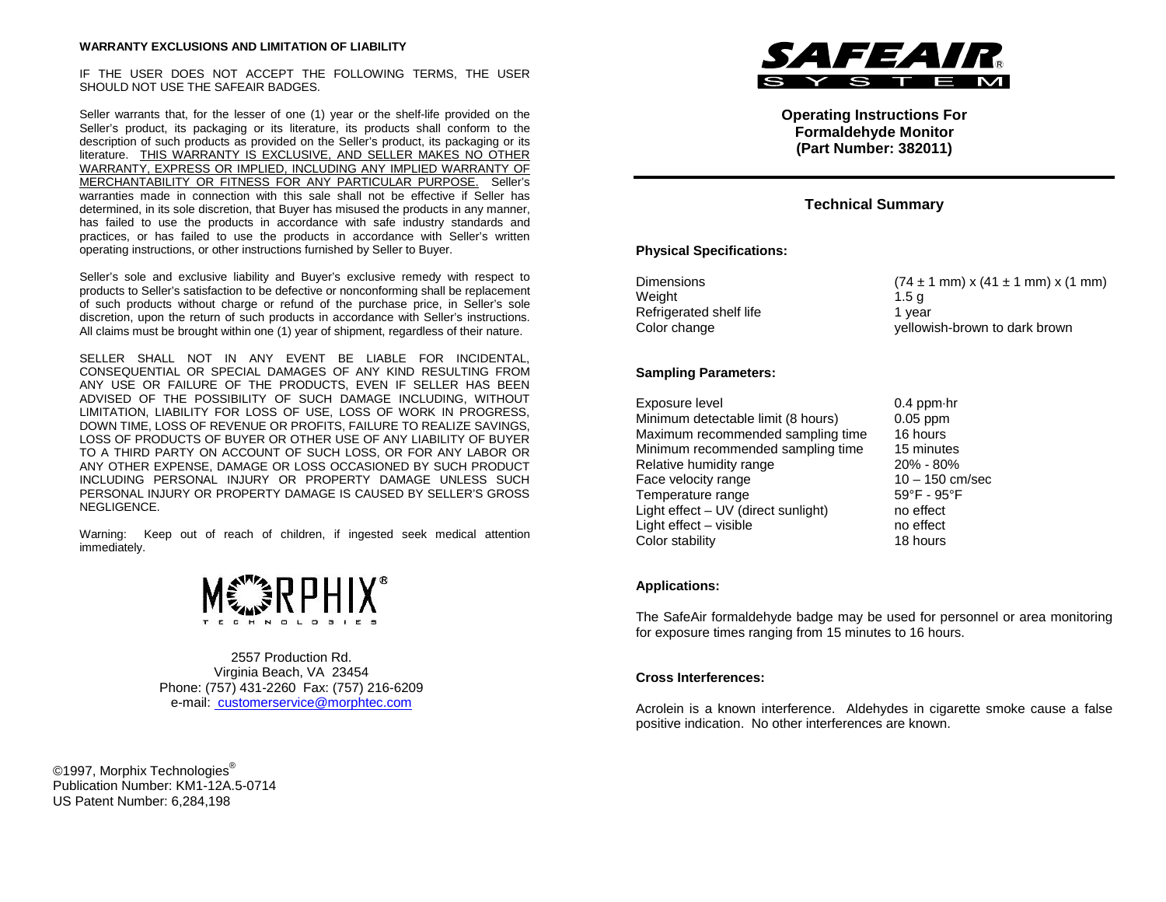## **WARRANTY EXCLUSIONS AND LIMITATION OF LIABILITY**

IF THE USER DOES NOT ACCEPT THE FOLLOWING TERMS, THE USER SHOULD NOT USE THE SAFEAIR BADGES.

Seller warrants that, for the lesser of one (1) year or the shelf-life provided on the Seller's product, its packaging or its literature, its products shall conform to the description of such products as provided on the Seller's product, its packaging or its literature. THIS WARRANTY IS EXCLUSIVE, AND SELLER MAKES NO OTHER WARRANTY, EXPRESS OR IMPLIED, INCLUDING ANY IMPLIED WARRANTY OF MERCHANTABILITY OR FITNESS FOR ANY PARTICULAR PURPOSE. Seller's warranties made in connection with this sale shall not be effective if Seller has determined, in its sole discretion, that Buyer has misused the products in any manner, has failed to use the products in accordance with safe industry standards and practices, or has failed to use the products in accordance with Seller's written operating instructions, or other instructions furnished by Seller to Buyer.

Seller's sole and exclusive liability and Buyer's exclusive remedy with respect to products to Seller's satisfaction to be defective or nonconforming shall be replacement of such products without charge or refund of the purchase price, in Seller's sole discretion, upon the return of such products in accordance with Seller's instructions. All claims must be brought within one (1) year of shipment, regardless of their nature.

SELLER SHALL NOT IN ANY EVENT BE LIABLE FOR INCIDENTAL, CONSEQUENTIAL OR SPECIAL DAMAGES OF ANY KIND RESULTING FROM ANY USE OR FAILURE OF THE PRODUCTS, EVEN IF SELLER HAS BEEN ADVISED OF THE POSSIBILITY OF SUCH DAMAGE INCLUDING, WITHOUT LIMITATION, LIABILITY FOR LOSS OF USE, LOSS OF WORK IN PROGRESS, DOWN TIME, LOSS OF REVENUE OR PROFITS, FAILURE TO REALIZE SAVINGS, LOSS OF PRODUCTS OF BUYER OR OTHER USE OF ANY LIABILITY OF BUYER TO A THIRD PARTY ON ACCOUNT OF SUCH LOSS, OR FOR ANY LABOR OR ANY OTHER EXPENSE, DAMAGE OR LOSS OCCASIONED BY SUCH PRODUCT INCLUDING PERSONAL INJURY OR PROPERTY DAMAGE UNLESS SUCH PERSONAL INJURY OR PROPERTY DAMAGE IS CAUSED BY SELLER'S GROSS NEGLIGENCE.

Warning: Keep out of reach of children, if ingested seek medical attention immediately.



2557 Production Rd. Virginia Beach, VA 23454 Phone: (757) 431-2260 Fax: (757) 216-6209 e-mail: customerservice@morphtec.com

©1997, Morphix Technologies<sup>®</sup> Publication Number: KM1-12A.5-0714 US Patent Number: 6,284,198



**Operating Instructions For Formaldehyde Monitor (Part Number: 382011)**

# **Technical Summary**

#### **Physical Specifications:**

| <b>Dimensions</b>       | $(74 \pm 1 \text{ mm}) \times (41 \pm 1 \text{ mm}) \times (1 \text{ mm})$ |
|-------------------------|----------------------------------------------------------------------------|
| Weight                  | 1.5a                                                                       |
| Refrigerated shelf life | 1 vear                                                                     |
| Color change            | yellowish-brown to dark brown                                              |

#### **Sampling Parameters:**

| Exposure level                      | $0.4$ ppm $\cdot$ hr |
|-------------------------------------|----------------------|
| Minimum detectable limit (8 hours)  | $0.05$ ppm           |
| Maximum recommended sampling time   | 16 hours             |
| Minimum recommended sampling time   | 15 minutes           |
| Relative humidity range             | 20% - 80%            |
| Face velocity range                 | $10 - 150$ cm/sec    |
| Temperature range                   | 59°F - 95°F          |
| Light effect – UV (direct sunlight) | no effect            |
| Light effect - visible              | no effect            |
| Color stability                     | 18 hours             |

#### **Applications:**

The SafeAir formaldehyde badge may be used for personnel or area monitoring for exposure times ranging from 15 minutes to 16 hours.

## **Cross Interferences:**

Acrolein is a known interference. Aldehydes in cigarette smoke cause a false positive indication. No other interferences are known.